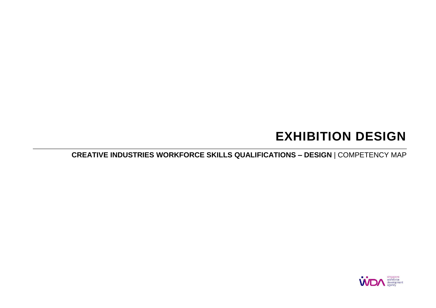# **EXHIBITION DESIGN**

**CREATIVE INDUSTRIES WORKFORCE SKILLS QUALIFICATIONS – DESIGN** | COMPETENCY MAP

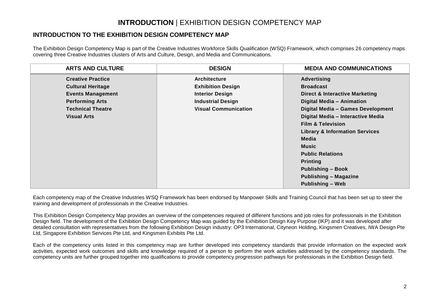## **INTRODUCTION** | EXHIBITION DESIGN COMPETENCY MAP

#### **INTRODUCTION TO THE EXHIBITION DESIGN COMPETENCY MAP**

The Exhibition Design Competency Map is part of the Creative Industries Workforce Skills Qualification (WSQ) Framework, which comprises 26 competency maps covering three Creative Industries clusters of Arts and Culture, Design, and Media and Communications.

| <b>ARTS AND CULTURE</b>  | <b>DESIGN</b>               | <b>MEDIA AND COMMUNICATIONS</b>           |
|--------------------------|-----------------------------|-------------------------------------------|
| <b>Creative Practice</b> | <b>Architecture</b>         | <b>Advertising</b>                        |
| <b>Cultural Heritage</b> | <b>Exhibition Design</b>    | <b>Broadcast</b>                          |
| <b>Events Management</b> | <b>Interior Design</b>      | <b>Direct &amp; Interactive Marketing</b> |
| <b>Performing Arts</b>   | <b>Industrial Design</b>    | Digital Media - Animation                 |
| <b>Technical Theatre</b> | <b>Visual Communication</b> | Digital Media - Games Development         |
| <b>Visual Arts</b>       |                             | Digital Media - Interactive Media         |
|                          |                             | <b>Film &amp; Television</b>              |
|                          |                             | <b>Library &amp; Information Services</b> |
|                          |                             | Media                                     |
|                          |                             | Music                                     |
|                          |                             | <b>Public Relations</b>                   |
|                          |                             | <b>Printing</b>                           |
|                          |                             | <b>Publishing - Book</b>                  |
|                          |                             | <b>Publishing - Magazine</b>              |
|                          |                             | <b>Publishing - Web</b>                   |

Each competency map of the Creative Industries WSQ Framework has been endorsed by Manpower Skills and Training Council that has been set up to steer the training and development of professionals in the Creative Industries.

This Exhibition Design Competency Map provides an overview of the competencies required of different functions and job roles for professionals in the Exhibition Design field. The development of the Exhibition Design Competency Map was guided by the Exhibition Design Key Purpose (IKP) and it was developed after detailed consultation with representatives from the following Exhibition Design industry: OP3 International, Cityneon Holding, Kingsmen Creatives, IWA Design Pte Ltd, Singapore Exhibition Services Pte Ltd, and Kingsmen Exhibits Pte Ltd.

Each of the competency units listed in this competency map are further developed into competency standards that provide information on the expected work activities, expected work outcomes and skills and knowledge required of a person to perform the work activities addressed by the competency standards. The competency units are further grouped together into qualifications to provide competency progression pathways for professionals in the Exhibition Design field.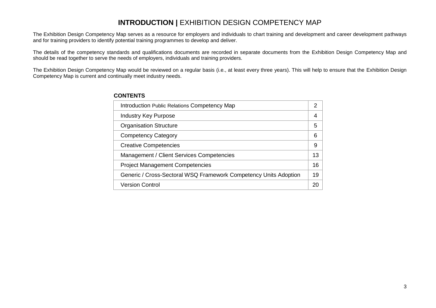## **INTRODUCTION |** EXHIBITION DESIGN COMPETENCY MAP

The Exhibition Design Competency Map serves as a resource for employers and individuals to chart training and development and career development pathways and for training providers to identify potential training programmes to develop and deliver.

The details of the competency standards and qualifications documents are recorded in separate documents from the Exhibition Design Competency Map and should be read together to serve the needs of employers, individuals and training providers.

The Exhibition Design Competency Map would be reviewed on a regular basis (i.e., at least every three years). This will help to ensure that the Exhibition Design Competency Map is current and continually meet industry needs.

| Introduction Public Relations Competency Map                     | 2  |
|------------------------------------------------------------------|----|
| <b>Industry Key Purpose</b>                                      | 4  |
| <b>Organisation Structure</b>                                    | 5  |
| <b>Competency Category</b>                                       | 6  |
| <b>Creative Competencies</b>                                     | 9  |
| Management / Client Services Competencies                        | 13 |
| <b>Project Management Competencies</b>                           | 16 |
| Generic / Cross-Sectoral WSQ Framework Competency Units Adoption | 19 |
| <b>Version Control</b>                                           | 20 |

#### **CONTENTS**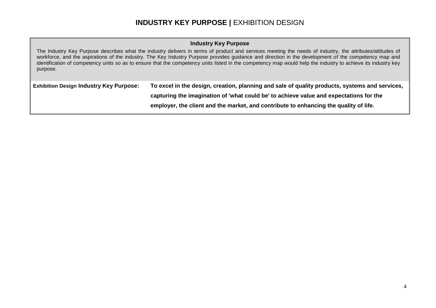## **INDUSTRY KEY PURPOSE |** EXHIBITION DESIGN

#### **Industry Key Purpose**

The Industry Key Purpose describes what the industry delivers in terms of product and services meeting the needs of industry, the attributes/attitudes of workforce, and the aspirations of the industry. The Key Industry Purpose provides guidance and direction in the development of the competency map and identification of competency units so as to ensure that the competency units listed in the competency map would help the industry to achieve its industry key purpose.

| <b>Exhibition Design Industry Key Purpose:</b> | To excel in the design, creation, planning and sale of quality products, systems and services, |
|------------------------------------------------|------------------------------------------------------------------------------------------------|
|                                                | capturing the imagination of 'what could be' to achieve value and expectations for the         |
|                                                | employer, the client and the market, and contribute to enhancing the quality of life.          |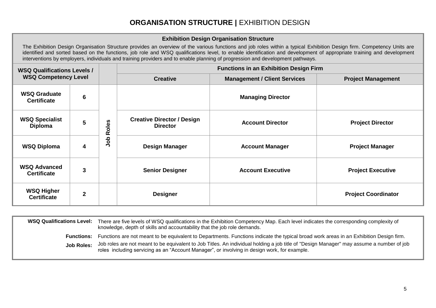## **ORGANISATION STRUCTURE |** EXHIBITION DESIGN

#### **Exhibition Design Organisation Structure**

The Exhibition Design Organisation Structure provides an overview of the various functions and job roles within a typical Exhibition Design firm. Competency Units are identified and sorted based on the functions, job role and WSQ qualifications level, to enable identification and development of appropriate training and development interventions by employers, individuals and training providers and to enable planning of progression and development pathways.

| <b>WSQ Qualifications Levels /</b><br><b>WSQ Competency Level</b> |                |       | <b>Functions in an Exhibition Design Firm</b>          |                          |                            |  |
|-------------------------------------------------------------------|----------------|-------|--------------------------------------------------------|--------------------------|----------------------------|--|
|                                                                   |                |       | <b>Management / Client Services</b><br><b>Creative</b> |                          | <b>Project Management</b>  |  |
| <b>WSQ Graduate</b><br><b>Certificate</b>                         | 6              |       |                                                        | <b>Managing Director</b> |                            |  |
| <b>WSQ Specialist</b><br><b>Diploma</b>                           | 5              | Roles | <b>Creative Director / Design</b><br><b>Director</b>   | <b>Account Director</b>  | <b>Project Director</b>    |  |
| <b>WSQ Diploma</b>                                                | 4              | dol   | <b>Design Manager</b>                                  | <b>Account Manager</b>   | <b>Project Manager</b>     |  |
| <b>WSQ Advanced</b><br><b>Certificate</b>                         | 3              |       | <b>Senior Designer</b>                                 | <b>Account Executive</b> | <b>Project Executive</b>   |  |
| <b>WSQ Higher</b><br><b>Certificate</b>                           | $\overline{2}$ |       | <b>Designer</b>                                        |                          | <b>Project Coordinator</b> |  |

| <b>WSQ Qualifications Level:</b> | There are five levels of WSQ qualifications in the Exhibition Competency Map. Each level indicates the corresponding complexity of<br>knowledge, depth of skills and accountability that the job role demands.                           |
|----------------------------------|------------------------------------------------------------------------------------------------------------------------------------------------------------------------------------------------------------------------------------------|
| <b>Functions:</b>                | Functions are not meant to be equivalent to Departments. Functions indicate the typical broad work areas in an Exhibition Design firm.                                                                                                   |
| Job Roles:                       | Job roles are not meant to be equivalent to Job Titles. An individual holding a job title of "Design Manager" may assume a number of job<br>roles including servicing as an "Account Manager", or involving in design work, for example. |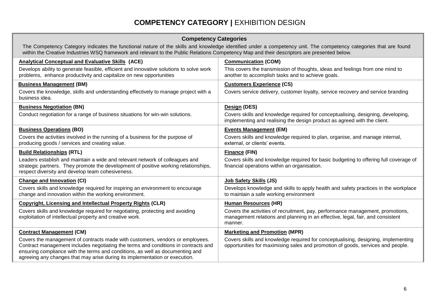## **COMPETENCY CATEGORY | EXHIBITION DESIGN**

| <b>Competency Categories</b>                                                                                                                                                                                                                                                                                                        |                                                                                                                                                                             |  |  |  |
|-------------------------------------------------------------------------------------------------------------------------------------------------------------------------------------------------------------------------------------------------------------------------------------------------------------------------------------|-----------------------------------------------------------------------------------------------------------------------------------------------------------------------------|--|--|--|
| The Competency Category indicates the functional nature of the skills and knowledge identified under a competency unit. The competency categories that are found<br>within the Creative Industries WSQ framework and relevant to the Public Relations Competency Map and their descriptors are presented below.                     |                                                                                                                                                                             |  |  |  |
| <b>Analytical Conceptual and Evaluative Skills (ACE)</b>                                                                                                                                                                                                                                                                            | <b>Communication (COM)</b>                                                                                                                                                  |  |  |  |
| Develops ability to generate feasible, efficient and innovative solutions to solve work<br>problems, enhance productivity and capitalize on new opportunities                                                                                                                                                                       | This covers the transmission of thoughts, ideas and feelings from one mind to<br>another to accomplish tasks and to achieve goals.                                          |  |  |  |
| <b>Business Management (BM)</b>                                                                                                                                                                                                                                                                                                     | <b>Customers Experience (CS)</b>                                                                                                                                            |  |  |  |
| Covers the knowledge, skills and understanding effectively to manage project with a<br>business idea.                                                                                                                                                                                                                               | Covers service delivery, customer loyalty, service recovery and service branding                                                                                            |  |  |  |
| <b>Business Negotiation (BN)</b>                                                                                                                                                                                                                                                                                                    | Design (DES)                                                                                                                                                                |  |  |  |
| Conduct negotiation for a range of business situations for win-win solutions.                                                                                                                                                                                                                                                       | Covers skills and knowledge required for conceptualising, designing, developing,<br>implementing and realising the design product as agreed with the client.                |  |  |  |
| <b>Business Operations (BO)</b>                                                                                                                                                                                                                                                                                                     | <b>Events Management (EM)</b>                                                                                                                                               |  |  |  |
| Covers the activities involved in the running of a business for the purpose of<br>producing goods / services and creating value.                                                                                                                                                                                                    | Covers skills and knowledge required to plan, organise, and manage internal,<br>external, or clients' events.                                                               |  |  |  |
| <b>Build Relationships (RTL)</b>                                                                                                                                                                                                                                                                                                    | <b>Finance (FIN)</b>                                                                                                                                                        |  |  |  |
| Leaders establish and maintain a wide and relevant network of colleagues and<br>strategic partners. They promote the development of positive working relationships,<br>respect diversity and develop team cohesiveness.                                                                                                             | Covers skills and knowledge required for basic budgeting to offering full coverage of<br>financial operations within an organisation.                                       |  |  |  |
| <b>Change and Innovation (CI)</b>                                                                                                                                                                                                                                                                                                   | Job Safety Skills (JS)                                                                                                                                                      |  |  |  |
| Covers skills and knowledge required for inspiring an environment to encourage<br>change and innovation within the working environment.                                                                                                                                                                                             | Develops knowledge and skills to apply health and safety practices in the workplace<br>to maintain a safe working environment                                               |  |  |  |
| <b>Copyright, Licensing and Intellectual Property Rights (CLR)</b>                                                                                                                                                                                                                                                                  | <b>Human Resources (HR)</b>                                                                                                                                                 |  |  |  |
| Covers skills and knowledge required for negotiating, protecting and avoiding<br>exploitation of intellectual property and creative work.                                                                                                                                                                                           | Covers the activities of recruitment, pay, performance management, promotions,<br>management relations and planning in an effective, legal, fair, and consistent<br>manner. |  |  |  |
| <b>Contract Management (CM)</b>                                                                                                                                                                                                                                                                                                     | <b>Marketing and Promotion (MPR)</b>                                                                                                                                        |  |  |  |
| Covers the management of contracts made with customers, vendors or employees.<br>Contract management includes negotiating the terms and conditions in contracts and<br>ensuring compliance with the terms and conditions, as well as documenting and<br>agreeing any changes that may arise during its implementation or execution. | Covers skills and knowledge required for conceptualising, designing, implementing<br>opportunities for maximising sales and promotion of goods, services and people.        |  |  |  |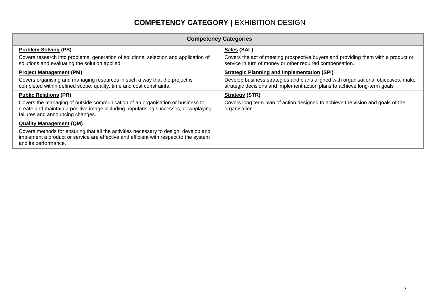## **COMPETENCY CATEGORY | EXHIBITION DESIGN**

| <b>Competency Categories</b>                                                                                                                                                                             |                                                                                                                                                                 |  |  |  |  |
|----------------------------------------------------------------------------------------------------------------------------------------------------------------------------------------------------------|-----------------------------------------------------------------------------------------------------------------------------------------------------------------|--|--|--|--|
| <b>Problem Solving (PS)</b>                                                                                                                                                                              | Sales (SAL)                                                                                                                                                     |  |  |  |  |
| Covers research into problems, generation of solutions, selection and application of<br>solutions and evaluating the solution applied.                                                                   | Covers the act of meeting prospective buyers and providing them with a product or<br>service in turn of money or other required compensation.                   |  |  |  |  |
| <b>Project Management (PM)</b>                                                                                                                                                                           | <b>Strategic Planning and Implementation (SPI)</b>                                                                                                              |  |  |  |  |
| Covers organising and managing resources in such a way that the project is<br>completed within defined scope, quality, time and cost constraints.                                                        | Develop business strategies and plans aligned with organisational objectives, make<br>strategic decisions and implement action plans to achieve long-term goals |  |  |  |  |
| <b>Public Relations (PR)</b>                                                                                                                                                                             | <b>Strategy (STR)</b>                                                                                                                                           |  |  |  |  |
| Covers the managing of outside communication of an organisation or business to<br>create and maintain a positive image including popularising successes, downplaying<br>failures and announcing changes. | Covers long term plan of action designed to achieve the vision and goals of the<br>organisation.                                                                |  |  |  |  |
| <b>Quality Management (QM)</b>                                                                                                                                                                           |                                                                                                                                                                 |  |  |  |  |
| Covers methods for ensuring that all the activities necessary to design, develop and<br>implement a product or service are effective and efficient with respect to the system<br>and its performance.    |                                                                                                                                                                 |  |  |  |  |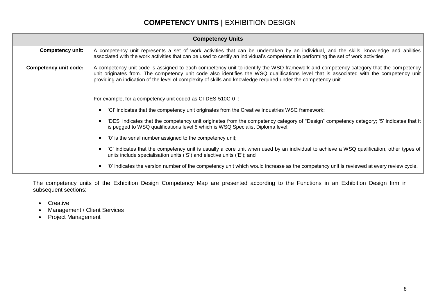## **COMPETENCY UNITS |** EXHIBITION DESIGN

| <b>Competency Units</b>                                                                                                                                                                                                   |                                                                                                                                                                                                                                                                                                                                                                                                   |  |  |  |  |  |
|---------------------------------------------------------------------------------------------------------------------------------------------------------------------------------------------------------------------------|---------------------------------------------------------------------------------------------------------------------------------------------------------------------------------------------------------------------------------------------------------------------------------------------------------------------------------------------------------------------------------------------------|--|--|--|--|--|
| <b>Competency unit:</b>                                                                                                                                                                                                   | A competency unit represents a set of work activities that can be undertaken by an individual, and the skills, knowledge and abilities<br>associated with the work activities that can be used to certify an individual's competence in performing the set of work activities                                                                                                                     |  |  |  |  |  |
| <b>Competency unit code:</b>                                                                                                                                                                                              | A competency unit code is assigned to each competency unit to identify the WSQ framework and competency category that the competency<br>unit originates from. The competency unit code also identifies the WSQ qualifications level that is associated with the competency unit<br>providing an indication of the level of complexity of skills and knowledge required under the competency unit. |  |  |  |  |  |
|                                                                                                                                                                                                                           | For example, for a competency unit coded as CI-DES-510C-0:                                                                                                                                                                                                                                                                                                                                        |  |  |  |  |  |
| 'CI' indicates that the competency unit originates from the Creative Industries WSQ framework;                                                                                                                            |                                                                                                                                                                                                                                                                                                                                                                                                   |  |  |  |  |  |
| 'DES' indicates that the competency unit originates from the competency category of "Design" competency category; '5' indicates that it<br>is pegged to WSQ qualifications level 5 which is WSQ Specialist Diploma level; |                                                                                                                                                                                                                                                                                                                                                                                                   |  |  |  |  |  |
|                                                                                                                                                                                                                           | '0' is the serial number assigned to the competency unit;                                                                                                                                                                                                                                                                                                                                         |  |  |  |  |  |
|                                                                                                                                                                                                                           | 'C' indicates that the competency unit is usually a core unit when used by an individual to achieve a WSQ qualification, other types of<br>units include specialisation units ('S') and elective units ('E'); and                                                                                                                                                                                 |  |  |  |  |  |
|                                                                                                                                                                                                                           | '0' indicates the version number of the competency unit which would increase as the competency unit is reviewed at every review cycle.                                                                                                                                                                                                                                                            |  |  |  |  |  |

The competency units of the Exhibition Design Competency Map are presented according to the Functions in an Exhibition Design firm in subsequent sections:

- Creative
- Management / Client Services
- Project Management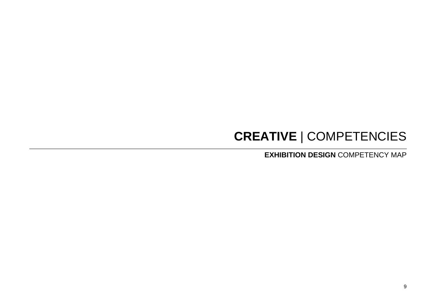# **CREATIVE** | COMPETENCIES

**EXHIBITION DESIGN** COMPETENCY MAP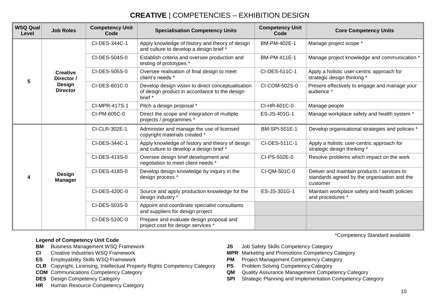## **CREATIVE** | COMPETENCIES – EXHIBITION DESIGN

| <b>WSQ Qual</b><br>Level | <b>Job Roles</b>                 | <b>Competency Unit</b><br>Code                                     | <b>Specialisation Competency Units</b>                                                                        | <b>Competency Unit</b><br>Code                                    | <b>Core Competency Units</b>                                                                            |
|--------------------------|----------------------------------|--------------------------------------------------------------------|---------------------------------------------------------------------------------------------------------------|-------------------------------------------------------------------|---------------------------------------------------------------------------------------------------------|
|                          |                                  | CI-DES-344C-1                                                      | Apply knowledge of history and theory of design<br>and culture to develop a design brief *                    | BM-PM-402E-1                                                      | Manage project scope *                                                                                  |
|                          |                                  | CI-DES-504S-0                                                      | Establish criteria and oversee production and<br>testing of prototypes *                                      | BM-PM-411E-1                                                      | Manage project knowledge and communication *                                                            |
|                          | <b>Creative</b><br>Director /    | CI-DES-505S-0                                                      | Oversee realisation of final design to meet<br>client's needs *                                               | CI-DES-511C-1                                                     | Apply a holistic user-centric approach for<br>strategic design thinking *                               |
| 5                        | <b>Design</b><br><b>Director</b> | CI-DES-601C-0                                                      | Develop design vision to direct conceptualisation<br>of design product in accordance to the design<br>brief * | CI-COM-502S-0                                                     | Present effectively to engage and manage your<br>audience *                                             |
|                          |                                  | CI-MPR-417S-1                                                      | Pitch a design proposal *                                                                                     | CI-HR-601C-0                                                      | Manage people                                                                                           |
|                          |                                  | CI-PM-605C-0                                                       | Direct the scope and integration of multiple<br>projects / programmes *                                       | ES-JS-401G-1                                                      | Manage workplace safety and health system *                                                             |
|                          |                                  | CI-CLR-302E-1                                                      | Administer and manage the use of licensed<br>copyright materials created *                                    | BM-SPI-501E-1                                                     | Develop organisational strategies and policies *                                                        |
|                          |                                  | CI-DES-344C-1                                                      | Apply knowledge of history and theory of design<br>and culture to develop a design brief *                    | CI-DES-511C-1                                                     | Apply a holistic user-centric approach for<br>strategic design thinking *                               |
|                          |                                  | CI-DES-413S-0                                                      | Oversee design brief development and<br>negotiation to meet client needs *                                    | CI-PS-502E-0                                                      | Resolve problems which impact on the work                                                               |
|                          | Design<br><b>Manager</b>         | CI-DES-418S-0                                                      | Develop design knowledge by inquiry in the<br>design process *                                                | CI-QM-501C-0                                                      | Deliver and maintain products / services to<br>standards agreed by the organisation and the<br>customer |
|                          | CI-DES-420C-0                    | Source and apply production knowledge for the<br>design industry * | ES-JS-301G-1                                                                                                  | Maintain workplace safety and health policies<br>and procedures * |                                                                                                         |
|                          |                                  | CI-DES-503S-0                                                      | Appoint and coordinate specialist consultants<br>and suppliers for design project                             |                                                                   |                                                                                                         |
|                          |                                  | CI-DES-510C-0                                                      | Prepare and evaluate design proposal and<br>project cost for design services *                                |                                                                   |                                                                                                         |

#### **Legend of Competency Unit Code**

- 
- 
- 
- **CLR** Copyright, Licensing, Intellectual Property Rights Competency Category **PS** Problem Solving Competency Category
- 
- 
- **HR** Human Resource Competency Category
- **BM** Business Management WSQ Framework **JS** Job Safety Skills Competency Category
- **CI** Creative Industries WSQ Framework **MPR** Marketing and Promotions Competency Category
- **ES** Employability Skills WSQ Framework **PM** Project Management Competency Category
	-
- **COM** Communications Competency Category **COM** Quality Assurance Management Competency Category
- **DES** Design Competency Category **SPI** Strategic Planning and Implementation Competency Category

\*Competency Standard available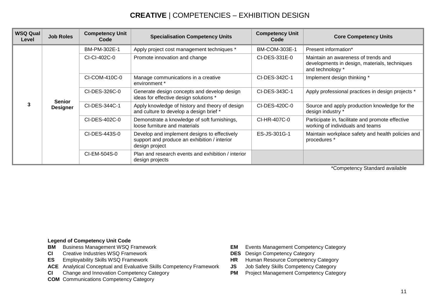## **CREATIVE** | COMPETENCIES – EXHIBITION DESIGN

| <b>WSQ Qual</b><br>Level | <b>Job Roles</b>                 | <b>Competency Unit</b><br>Code | <b>Specialisation Competency Units</b>                                                                         | <b>Competency Unit</b><br>Code | <b>Core Competency Units</b>                                                                             |
|--------------------------|----------------------------------|--------------------------------|----------------------------------------------------------------------------------------------------------------|--------------------------------|----------------------------------------------------------------------------------------------------------|
|                          |                                  | BM-PM-302E-1                   | Apply project cost management techniques *                                                                     | BM-COM-303E-1                  | Present information*                                                                                     |
|                          |                                  | CI-CI-402C-0                   | Promote innovation and change                                                                                  | CI-DES-331E-0                  | Maintain an awareness of trends and<br>developments in design, materials, techniques<br>and technology * |
|                          |                                  | CI-COM-410C-0                  | Manage communications in a creative<br>environment *                                                           | CI-DES-342C-1                  | Implement design thinking *                                                                              |
|                          | <b>Senior</b><br><b>Designer</b> | CI-DES-326C-0                  | Generate design concepts and develop design<br>ideas for effective design solutions *                          | CI-DES-343C-1                  | Apply professional practices in design projects *                                                        |
|                          |                                  | CI-DES-344C-1                  | Apply knowledge of history and theory of design<br>and culture to develop a design brief *                     | CI-DES-420C-0                  | Source and apply production knowledge for the<br>design industry *                                       |
|                          |                                  | CI-DES-402C-0                  | Demonstrate a knowledge of soft furnishings,<br>loose furniture and materials                                  | CI-HR-407C-0                   | Participate in, facilitate and promote effective<br>working of individuals and teams                     |
|                          |                                  | CI-DES-443S-0                  | Develop and implement designs to effectively<br>support and produce an exhibition / interior<br>design project | ES-JS-301G-1                   | Maintain workplace safety and health policies and<br>procedures *                                        |
|                          |                                  | CI-EM-504S-0                   | Plan and research events and exhibition / interior<br>design projects                                          |                                |                                                                                                          |

\*Competency Standard available

#### **Legend of Competency Unit Code**

- **BM** Business Management WSQ Framework **EM** Events Management Competency Category
- **CI** Creative Industries WSQ Framework **DES** Design Competency Category<br> **DES** Employability Skills WSQ Framework **DES HR** Human Resource Competency Category
- **ES** Employability Skills WSQ Framework **HR** HUMAN RESOURCE COMPETER
- **ACE** Analytical Conceptual and Evaluative Skills Competency Framework **JS** Job Safety Skills Competency Category
- **CI** Change and Innovation Competency Category **PM** Project Management Competency Category
- **COM** Communications Competency Category
- 
- 
- 
- 
-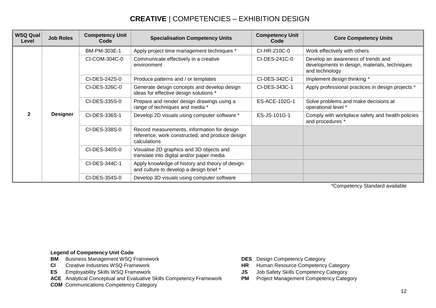## **CREATIVE** | COMPETENCIES – EXHIBITION DESIGN

| <b>WSQ Qual</b><br>Level | <b>Job Roles</b> | <b>Competency Unit</b><br>Code | <b>Specialisation Competency Units</b>                                                                         | <b>Competency Unit</b><br>Code | <b>Core Competency Units</b>                                                                          |
|--------------------------|------------------|--------------------------------|----------------------------------------------------------------------------------------------------------------|--------------------------------|-------------------------------------------------------------------------------------------------------|
|                          |                  | BM-PM-303E-1                   | Apply project time management techniques *                                                                     | CI-HR-210C-0                   | Work effectively with others                                                                          |
|                          |                  | CI-COM-304C-0                  | Communicate effectively in a creative<br>environment                                                           | CI-DES-241C-0                  | Develop an awareness of trends and<br>developments in design, materials, techniques<br>and technology |
|                          |                  | CI-DES-242S-0                  | Produce patterns and / or templates                                                                            | CI-DES-342C-1                  | Implement design thinking *                                                                           |
| 2                        |                  | CI-DES-326C-0                  | Generate design concepts and develop design<br>ideas for effective design solutions *                          | CI-DES-343C-1                  | Apply professional practices in design projects *                                                     |
|                          | <b>Designer</b>  | CI-DES-335S-0                  | Prepare and render design drawings using a<br>range of techniques and media *                                  | ES-ACE-102G-1                  | Solve problems and make decisions at<br>operational level *                                           |
|                          |                  | CI-DES-336S-1                  | Develop 2D visuals using computer software *                                                                   | ES-JS-101G-1                   | Comply with workplace safety and health policies<br>and procedures *                                  |
|                          |                  | CI-DES-338S-0                  | Record measurements, information for design<br>reference, work constructed, and produce design<br>calculations |                                |                                                                                                       |
|                          |                  | CI-DES-340S-0                  | Visualise 2D graphics and 3D objects and<br>translate into digital and/or paper media                          |                                |                                                                                                       |
|                          |                  | CI-DES-344C-1                  | Apply knowledge of history and theory of design<br>and culture to develop a design brief *                     |                                |                                                                                                       |
|                          |                  | CI-DES-354S-0                  | Develop 3D visuals using computer software                                                                     |                                |                                                                                                       |

\*Competency Standard available

#### **Legend of Competency Unit Code**

- **BM** Business Management WSQ Framework **DES** Design Competency Category<br> **CI** Creative Industries WSQ Framework **DES** Design Competency Category
- 
- 
- **ACE** Analytical Conceptual and Evaluative Skills Competency Framework **PM** Project Management Competency Category

**COM** Communications Competency Category

- 
- **CI** Creative Industries WSQ Framework **CI** Creative Industries WSQ Framework **HR** Human Resource Competency Category
- **ES** Employability Skills WSQ Framework **JS** Job Safety Skills Competency Category
	-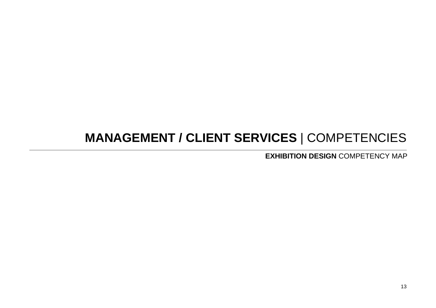# **MANAGEMENT / CLIENT SERVICES** | COMPETENCIES

**EXHIBITION DESIGN** COMPETENCY MAP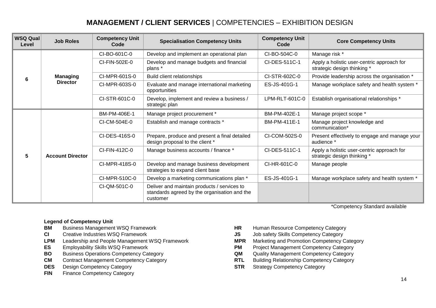## **MANAGEMENT / CLIENT SERVICES** | COMPETENCIES – EXHIBITION DESIGN

| <b>WSQ Qual</b><br>Level | <b>Job Roles</b>        | <b>Competency Unit</b><br>Code | <b>Specialisation Competency Units</b>                                                                  | <b>Competency Unit</b><br>Code | <b>Core Competency Units</b>                                              |
|--------------------------|-------------------------|--------------------------------|---------------------------------------------------------------------------------------------------------|--------------------------------|---------------------------------------------------------------------------|
|                          |                         | CI-BO-601C-0                   | Develop and implement an operational plan                                                               | CI-BO-504C-0                   | Manage risk *                                                             |
|                          |                         | CI-FIN-502E-0                  | Develop and manage budgets and financial<br>plans *                                                     | CI-DES-511C-1                  | Apply a holistic user-centric approach for<br>strategic design thinking * |
| 6                        | <b>Managing</b>         | CI-MPR-601S-0                  | Build client relationships                                                                              | CI-STR-602C-0                  | Provide leadership across the organisation *                              |
|                          | <b>Director</b>         | CI-MPR-603S-0                  | Evaluate and manage international marketing<br>opportunities                                            | ES-JS-401G-1                   | Manage workplace safety and health system *                               |
|                          |                         | CI-STR-601C-0                  | Develop, implement and review a business /<br>strategic plan                                            | LPM-RLT-601C-0                 | Establish organisational relationships *                                  |
| 5                        |                         | BM-PM-406E-1                   | Manage project procurement *                                                                            | BM-PM-402E-1                   | Manage project scope *                                                    |
|                          |                         | CI-CM-504E-0                   | Establish and manage contracts *                                                                        | BM-PM-411E-1                   | Manage project knowledge and<br>communication*                            |
|                          |                         | CI-DES-416S-0                  | Prepare, produce and present a final detailed<br>design proposal to the client *                        | CI-COM-502S-0                  | Present effectively to engage and manage your<br>audience *               |
|                          | <b>Account Director</b> | CI-FIN-412C-0                  | Manage business accounts / finance *                                                                    | CI-DES-511C-1                  | Apply a holistic user-centric approach for<br>strategic design thinking * |
|                          |                         | CI-MPR-418S-0                  | Develop and manage business development<br>strategies to expand client base                             | CI-HR-601C-0                   | Manage people                                                             |
|                          |                         | CI-MPR-510C-0                  | Develop a marketing communications plan *                                                               | ES-JS-401G-1                   | Manage workplace safety and health system *                               |
|                          |                         | CI-QM-501C-0                   | Deliver and maintain products / services to<br>standards agreed by the organisation and the<br>customer |                                |                                                                           |

\*Competency Standard available

#### **Legend of Competency Unit**

- 
- 
- **LPM** Leadership and People Management WSQ Framework **MPR** Marketing and Promotion Competency Category
- 
- **BO** Business Operations Competency Category **CAU COM** Quality Management Competency Category
- **CM** Contract Management Competency Category **RTL** Building Relationship Competency Category
- **DES** Design Competency Category **STR** Strategy Competency Category
- **FIN** Finance Competency Category
- **BM** Business Management WSQ Framework **HR** Human Resource Competency Category<br> **CI** Creative Industries WSQ Framework **CI** SUS Job safety Skills Competency Category
- **CI** Creative Industries WSQ Framework **JS** Job safety Skills Competency Category
	-
- **ES** Employability Skills WSQ Framework **PM** Project Management Competency Category
	-
	-
	-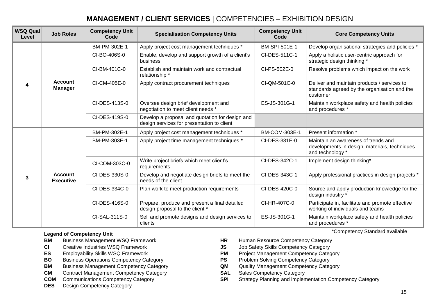## **MANAGEMENT / CLIENT SERVICES** | COMPETENCIES – EXHIBITION DESIGN

| <b>WSQ Qual</b><br>Level | <b>Job Roles</b>                   | <b>Competency Unit</b><br>Code | <b>Specialisation Competency Units</b>                                                        | <b>Competency Unit</b><br>Code | <b>Core Competency Units</b>                                                                             |
|--------------------------|------------------------------------|--------------------------------|-----------------------------------------------------------------------------------------------|--------------------------------|----------------------------------------------------------------------------------------------------------|
| 4                        | <b>Account</b><br><b>Manager</b>   | BM-PM-302E-1                   | Apply project cost management techniques *                                                    | BM-SPI-501E-1                  | Develop organisational strategies and policies *                                                         |
|                          |                                    | CI-BO-406S-0                   | Enable, develop and support growth of a client's<br>business                                  | CI-DES-511C-1                  | Apply a holistic user-centric approach for<br>strategic design thinking *                                |
|                          |                                    | CI-BM-401C-0                   | Establish and maintain work and contractual<br>relationship *                                 | CI-PS-502E-0                   | Resolve problems which impact on the work                                                                |
|                          |                                    | CI-CM-405E-0                   | Apply contract procurement techniques                                                         | CI-QM-501C-0                   | Deliver and maintain products / services to<br>standards agreed by the organisation and the<br>customer  |
|                          |                                    | CI-DES-413S-0                  | Oversee design brief development and<br>negotiation to meet client needs *                    | ES-JS-301G-1                   | Maintain workplace safety and health policies<br>and procedures *                                        |
|                          |                                    | CI-DES-419S-0                  | Develop a proposal and quotation for design and<br>design services for presentation to client |                                |                                                                                                          |
| 3                        |                                    | BM-PM-302E-1                   | Apply project cost management techniques *                                                    | <b>BM-COM-303E-1</b>           | Present information *                                                                                    |
|                          |                                    | BM-PM-303E-1                   | Apply project time management techniques *                                                    | CI-DES-331E-0                  | Maintain an awareness of trends and<br>developments in design, materials, techniques<br>and technology * |
|                          | <b>Account</b><br><b>Executive</b> | CI-COM-303C-0                  | Write project briefs which meet client's<br>requirements                                      | CI-DES-342C-1                  | Implement design thinking*                                                                               |
|                          |                                    | CI-DES-330S-0                  | Develop and negotiate design briefs to meet the<br>needs of the client                        | CI-DES-343C-1                  | Apply professional practices in design projects *                                                        |
|                          |                                    | CI-DES-334C-0                  | Plan work to meet production requirements                                                     | CI-DES-420C-0                  | Source and apply production knowledge for the<br>design industry *                                       |
|                          |                                    | CI-DES-416S-0                  | Prepare, produce and present a final detailed<br>design proposal to the client *              | CI-HR-407C-0                   | Participate in, facilitate and promote effective<br>working of individuals and teams                     |
|                          |                                    | CI-SAL-311S-0                  | Sell and promote designs and design services to<br>clients                                    | ES-JS-301G-1                   | Maintain workplace safety and health policies<br>and procedures *                                        |

#### **Legend of Competency Unit**

**BM** Business Management WSQ Framework **HR** Human Resource Competency Category

- 
- 
- **BO** Business Operations Competency Category **PS** Problem Solving Competency Category
- **BM** Business Management Competency Category **QM** Quality Management Competency Category
- **CM** Contract Management Competency Category **SAL** Sales Competency Category
- 
- **DES** Design Competency Category
- \*Competency Standard available
- 
- **CI** Creative Industries WSQ Framework **JS** Job Safety Skills Competency Category
- **ES** Employability Skills WSQ Framework **PM** Project Management Competency Category
	-
	-
	-
- **COM** Communications Competency Category **SPI** Strategy Planning and implementation Competency Category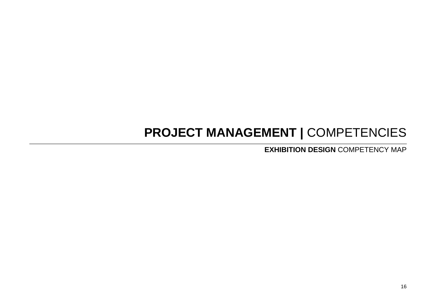## **PROJECT MANAGEMENT |** COMPETENCIES

**EXHIBITION DESIGN** COMPETENCY MAP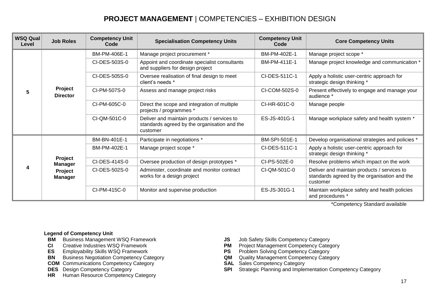## **PROJECT MANAGEMENT** | COMPETENCIES – EXHIBITION DESIGN

| <b>WSQ Qual</b><br>Level | <b>Job Roles</b>                                       | <b>Competency Unit</b><br>Code | <b>Specialisation Competency Units</b>                                                                  | <b>Competency Unit</b><br>Code | <b>Core Competency Units</b>                                                                            |
|--------------------------|--------------------------------------------------------|--------------------------------|---------------------------------------------------------------------------------------------------------|--------------------------------|---------------------------------------------------------------------------------------------------------|
| 5                        | Project<br><b>Director</b>                             | BM-PM-406E-1                   | Manage project procurement *                                                                            | BM-PM-402E-1                   | Manage project scope *                                                                                  |
|                          |                                                        | CI-DES-503S-0                  | Appoint and coordinate specialist consultants<br>and suppliers for design project                       | BM-PM-411E-1                   | Manage project knowledge and communication *                                                            |
|                          |                                                        | CI-DES-505S-0                  | Oversee realisation of final design to meet<br>client's needs *                                         | CI-DES-511C-1                  | Apply a holistic user-centric approach for<br>strategic design thinking *                               |
|                          |                                                        | CI-PM-507S-0                   | Assess and manage project risks                                                                         | CI-COM-502S-0                  | Present effectively to engage and manage your<br>audience *                                             |
|                          |                                                        | CI-PM-605C-0                   | Direct the scope and integration of multiple<br>projects / programmes *                                 | CI-HR-601C-0                   | Manage people                                                                                           |
|                          |                                                        | CI-QM-501C-0                   | Deliver and maintain products / services to<br>standards agreed by the organisation and the<br>customer | ES-JS-401G-1                   | Manage workplace safety and health system *                                                             |
| 4                        | <b>Project</b><br><b>Manager</b><br>Project<br>Manager | BM-BN-401E-1                   | Participate in negotiations *                                                                           | BM-SPI-501E-1                  | Develop organisational strategies and policies *                                                        |
|                          |                                                        | BM-PM-402E-1                   | Manage project scope *                                                                                  | CI-DES-511C-1                  | Apply a holistic user-centric approach for<br>strategic design thinking *                               |
|                          |                                                        | CI-DES-414S-0                  | Oversee production of design prototypes *                                                               | CI-PS-502E-0                   | Resolve problems which impact on the work                                                               |
|                          |                                                        | CI-DES-502S-0                  | Administer, coordinate and monitor contract<br>works for a design project                               | CI-QM-501C-0                   | Deliver and maintain products / services to<br>standards agreed by the organisation and the<br>customer |
|                          |                                                        | CI-PM-415C-0                   | Monitor and supervise production                                                                        | ES-JS-301G-1                   | Maintain workplace safety and health policies<br>and procedures *                                       |

\*Competency Standard available

#### **Legend of Competency Unit**

- **BM** Business Management WSQ Framework **JS** Job Safety Skills Competency Category<br>**CI** Creative Industries WSQ Framework **CLA Creative Industries WSQ Framework**
- 
- 
- **BN** Business Negotiation Competency Category **QM** Quality Management Competency Competency Category **COM** Communications Competency Category
- **COM** Communications Competency Category<br>**DES** Design Competency Category
- 
- **HR** Human Resource Competency Category
- 
- **PM** Project Management Competency Category<br>**PS** Problem Solving Competency Category
- **ES** Employability Skills WSQ Framework **PS** Problem Solving Competency Category<br> **BN** Business Negotiation Competency Category **PS QM** Quality Management Competency Category
	-
	-
	- **SPI** Strategic Planning and Implementation Competency Category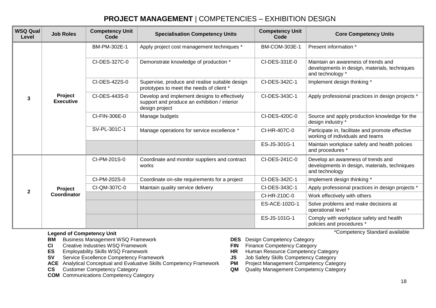## **PROJECT MANAGEMENT** | COMPETENCIES – EXHIBITION DESIGN

| <b>WSQ Qual</b><br>Level | <b>Job Roles</b>              | <b>Competency Unit</b><br>Code | <b>Specialisation Competency Units</b>                                                                         | <b>Competency Unit</b><br>Code | <b>Core Competency Units</b>                                                                             |
|--------------------------|-------------------------------|--------------------------------|----------------------------------------------------------------------------------------------------------------|--------------------------------|----------------------------------------------------------------------------------------------------------|
| 3                        | Project<br><b>Executive</b>   | BM-PM-302E-1                   | Apply project cost management techniques *                                                                     | <b>BM-COM-303E-1</b>           | Present information *                                                                                    |
|                          |                               | CI-DES-327C-0                  | Demonstrate knowledge of production *                                                                          | CI-DES-331E-0                  | Maintain an awareness of trends and<br>developments in design, materials, techniques<br>and technology * |
|                          |                               | CI-DES-422S-0                  | Supervise, produce and realise suitable design<br>prototypes to meet the needs of client *                     | CI-DES-342C-1                  | Implement design thinking *                                                                              |
|                          |                               | CI-DES-443S-0                  | Develop and implement designs to effectively<br>support and produce an exhibition / interior<br>design project | CI-DES-343C-1                  | Apply professional practices in design projects *                                                        |
|                          |                               | CI-FIN-306E-0                  | Manage budgets                                                                                                 | CI-DES-420C-0                  | Source and apply production knowledge for the<br>design industry *                                       |
|                          |                               | SV-PL-301C-1                   | Manage operations for service excellence *                                                                     | CI-HR-407C-0                   | Participate in, facilitate and promote effective<br>working of individuals and teams                     |
|                          |                               |                                |                                                                                                                | ES-JS-301G-1                   | Maintain workplace safety and health policies<br>and procedures *                                        |
| $\mathbf{2}$             | <b>Project</b><br>Coordinator | CI-PM-201S-0                   | Coordinate and monitor suppliers and contract<br>works                                                         | CI-DES-241C-0                  | Develop an awareness of trends and<br>developments in design, materials, techniques<br>and technology    |
|                          |                               | CI-PM-202S-0                   | Coordinate on-site requirements for a project                                                                  | CI-DES-342C-1                  | Implement design thinking *                                                                              |
|                          |                               | CI-QM-307C-0                   | Maintain quality service delivery                                                                              | CI-DES-343C-1                  | Apply professional practices in design projects *                                                        |
|                          |                               |                                |                                                                                                                | CI-HR-210C-0                   | Work effectively with others                                                                             |
|                          |                               |                                |                                                                                                                | ES-ACE-102G-1                  | Solve problems and make decisions at<br>operational level *                                              |
|                          |                               |                                |                                                                                                                | ES-JS-101G-1                   | Comply with workplace safety and health<br>policies and procedures *                                     |

#### **Legend of Competency Unit**

**BM** Business Management WSQ Framework **DES** Design Competency Category<br> **CI** Creative Industries WSQ Framework **DES PER** Finance Competency Category

- **CI** Creative Industries WSQ Framework<br> **ES** Employability Skills WSQ Framework **FIN FIN**
- 
- 
- Service Excellence Competency Framework **JS** Job Safety Skills Competency Category<br>Analytical Conceptual and Evaluative Skills Competency Framework **PM** Project Management Competency Category **ACE** Analytical Conceptual and Evaluative Skills Competency Framework **PM**<br>**CS** Customer Competency Category
- 
- **COM** Communications Competency Category
- 
- 
- **ES** Employability Skills WSQ Framework **HR Human Resource Competency Category**<br> **SP** Service Excellence Competency Framework **SP** JS Job Safety Skills Competency Category
	-
	-
	- **QM** Quality Management Competency Category

\*Competency Standard available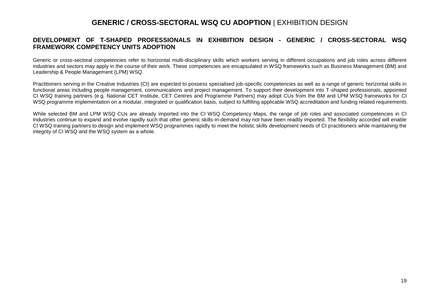### **GENERIC / CROSS-SECTORAL WSQ CU ADOPTION** | EXHIBITION DESIGN

#### **DEVELOPMENT OF T-SHAPED PROFESSIONALS IN EXHIBITION DESIGN - GENERIC / CROSS-SECTORAL WSQ FRAMEWORK COMPETENCY UNITS ADOPTION**

Generic or cross-sectoral competencies refer to horizontal multi-disciplinary skills which workers serving in different occupations and job roles across different industries and sectors may apply in the course of their work. These competencies are encapsulated in WSQ frameworks such as Business Management (BM) and Leadership & People Management (LPM) WSQ.

Practitioners serving in the Creative Industries (CI) are expected to possess specialised job-specific competencies as well as a range of generic horizontal skills in functional areas including people management, communications and project management. To support their development into T-shaped professionals, appointed CI WSQ training partners (e.g. National CET Institute, CET Centres and Programme Partners) may adopt CUs from the BM and LPM WSQ frameworks for CI WSQ programme implementation on a modular, integrated or qualification basis, subject to fulfilling applicable WSQ accreditation and funding related requirements.

While selected BM and LPM WSQ CUs are already imported into the CI WSQ Competency Maps, the range of job roles and associated competencies in CI Industries continue to expand and evolve rapidly such that other generic skills-in-demand may not have been readily imported. The flexibility accorded will enable CI WSQ training partners to design and implement WSQ programmes rapidly to meet the holistic skills development needs of CI practitioners while maintaining the integrity of CI WSQ and the WSQ system as a whole.